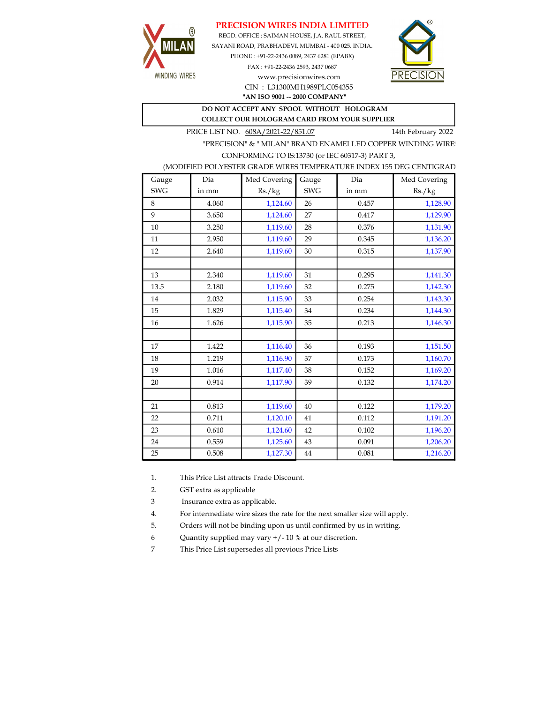## PRECISION WIRES INDIA LIMITED



REGD. OFFICE : SAIMAN HOUSE, J.A. RAUL STREET, SAYANI ROAD, PRABHADEVI, MUMBAI - 400 025. INDIA. PHONE : +91-22-2436 0089, 2437 6281 (EPABX)

> FAX : +91-22-2436 2593, 2437 0687 www.precisionwires.com CIN : L31300MH1989PLC054355



"AN ISO 9001 -- 2000 COMPANY"

## DO NOT ACCEPT ANY SPOOL WITHOUT HOLOGRAM COLLECT OUR HOLOGRAM CARD FROM YOUR SUPPLIER

PRICE LIST NO. 608A/2021-22/851.07 14th February 2022

"PRECISION" & " MILAN" BRAND ENAMELLED COPPER WINDING WIRE CONFORMING TO IS:13730 (or IEC 60317-3) PART 3,

|  | (MODIFIED POLYESTER GRADE WIRES TEMPERATURE INDEX 155 DEG CENTIGRAD |  |
|--|---------------------------------------------------------------------|--|
|  |                                                                     |  |

| Gauge      | Dia   | Med Covering | Gauge      | Dia   | Med Covering |
|------------|-------|--------------|------------|-------|--------------|
| <b>SWG</b> | in mm | Rs./kg       | <b>SWG</b> | in mm | Rs./kg       |
| 8          | 4.060 | 1,124.60     | 26         | 0.457 | 1,128.90     |
| 9          | 3.650 | 1,124.60     | 27         | 0.417 | 1,129.90     |
| 10         | 3.250 | 1,119.60     | 28         | 0.376 | 1,131.90     |
| 11         | 2.950 | 1,119.60     | 29         | 0.345 | 1,136.20     |
| 12         | 2.640 | 1,119.60     | 30         | 0.315 | 1,137.90     |
|            |       |              |            |       |              |
| 13         | 2.340 | 1,119.60     | 31         | 0.295 | 1,141.30     |
| 13.5       | 2.180 | 1,119.60     | 32         | 0.275 | 1,142.30     |
| 14         | 2.032 | 1,115.90     | 33         | 0.254 | 1,143.30     |
| 15         | 1.829 | 1,115.40     | 34         | 0.234 | 1,144.30     |
| 16         | 1.626 | 1,115.90     | 35         | 0.213 | 1,146.30     |
|            |       |              |            |       |              |
| 17         | 1.422 | 1,116.40     | 36         | 0.193 | 1,151.50     |
| 18         | 1.219 | 1,116.90     | 37         | 0.173 | 1,160.70     |
| 19         | 1.016 | 1,117.40     | 38         | 0.152 | 1,169.20     |
| 20         | 0.914 | 1,117.90     | 39         | 0.132 | 1,174.20     |
|            |       |              |            |       |              |
| 21         | 0.813 | 1,119.60     | 40         | 0.122 | 1,179.20     |
| 22         | 0.711 | 1,120.10     | 41         | 0.112 | 1,191.20     |
| 23         | 0.610 | 1,124.60     | 42         | 0.102 | 1,196.20     |
| 24         | 0.559 | 1,125.60     | 43         | 0.091 | 1,206.20     |
| 25         | 0.508 | 1,127.30     | 44         | 0.081 | 1,216.20     |

1. This Price List attracts Trade Discount.

2. GST extra as applicable

3 Insurance extra as applicable.

4. For intermediate wire sizes the rate for the next smaller size will apply.

5. Orders will not be binding upon us until confirmed by us in writing.

6 Quantity supplied may vary +/- 10 % at our discretion.

7 This Price List supersedes all previous Price Lists